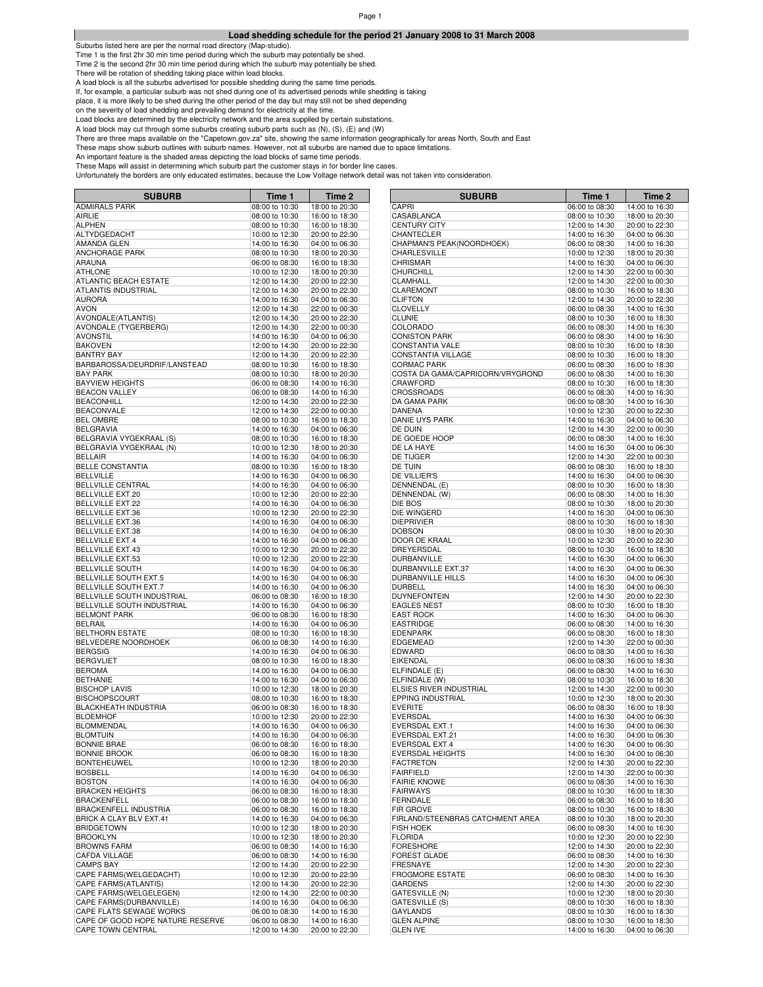# **Load shedding schedule for the period 21 January 2008 to 31 March 2008**

Suburbs listed here are per the normal road directory (Map-studio).

Time 1 is the first 2hr 30 min time period during which the suburb may potentially be shed. Time 1 is the second 2hr 30 min time period during which the suburb may potentially be shed.

There will be rotation of shedding taking place within load blocks.

A load block is all the suburbs advertised for possible shedding during the same time periods.

If, for example, a particular suburb was not shed during one of its advertised periods while shedding is taking

place, it is more likely to be shed during the other period of the day but may still not be shed depending

on the severity of load shedding and prevailing demand for electricity at the time.

Load blocks are determined by the electricity network and the area supplied by certain substations.

A load block may cut through some suburbs creating suburb parts such as (N), (S), (E) and (W)

There are three maps available on the "Capetown.gov.za" site, showing the same information geographically for areas North, South and East

These maps show suburb outlines with suburb names. However, not all suburbs are named due to space limitations.

An important feature is the shaded areas depicting the load blocks of same time periods.

| <b>SUBURB</b>                                      | Time 1                           | Time 2         | <b>SUBURB</b>                                   | Time 1         | Time 2         |
|----------------------------------------------------|----------------------------------|----------------|-------------------------------------------------|----------------|----------------|
| <b>ADMIRALS PARK</b>                               | 08:00 to 10:30                   | 18:00 to 20:30 | CAPRI                                           | 06:00 to 08:30 | 14:00 to 16:30 |
| AIRLIE                                             | 08:00 to 10:30                   | 16:00 to 18:30 | CASABLANCA                                      | 08:00 to 10:30 | 18:00 to 20:30 |
| <b>ALPHEN</b>                                      | 08:00 to 10:30                   | 16:00 to 18:30 | <b>CENTURY CITY</b>                             | 12:00 to 14:30 | 20:00 to 22:30 |
| ALTYDGEDACHT                                       | 10:00 to 12:30                   | 20:00 to 22:30 | CHANTECLER                                      | 14:00 to 16:30 | 04:00 to 06:30 |
| <b>AMANDA GLEN</b>                                 | 14:00 to 16:30                   | 04:00 to 06:30 | CHAPMAN'S PEAK(NOORDHOEK)                       | 06:00 to 08:30 | 14:00 to 16:30 |
| ANCHORAGE PARK                                     | 08:00 to 10:30                   | 18:00 to 20:30 | CHARLESVILLE                                    | 10:00 to 12:30 | 18:00 to 20:30 |
| ARAUNA                                             | 06:00 to 08:30                   | 16:00 to 18:30 | CHRISMAR                                        | 14:00 to 16:30 | 04:00 to 06:30 |
| <b>ATHLONE</b>                                     | 10:00 to 12:30                   | 18:00 to 20:30 | <b>CHURCHILL</b>                                | 12:00 to 14:30 | 22:00 to 00:30 |
| ATLANTIC BEACH ESTATE                              | 12:00 to 14:30                   | 20:00 to 22:30 | CLAMHALL                                        | 12:00 to 14:30 | 22:00 to 00:30 |
| <b>ATLANTIS INDUSTRIAL</b>                         | 12:00 to 14:30                   | 20:00 to 22:30 | CLAREMONT                                       | 08:00 to 10:30 | 16:00 to 18:30 |
| <b>AURORA</b>                                      | 14:00 to 16:30                   | 04:00 to 06:30 | <b>CLIFTON</b>                                  | 12:00 to 14:30 | 20:00 to 22:30 |
| <b>AVON</b>                                        | 12:00 to 14:30                   | 22:00 to 00:30 | <b>CLOVELLY</b>                                 | 06:00 to 08:30 | 14:00 to 16:30 |
| AVONDALE(ATLANTIS)                                 | 12:00 to 14:30                   | 20:00 to 22:30 | <b>CLUNIE</b>                                   | 08:00 to 10:30 | 16:00 to 18:30 |
| <b>AVONDALE (TYGERBERG)</b>                        | 12:00 to 14:30                   | 22:00 to 00:30 | COLORADO                                        | 06:00 to 08:30 | 14:00 to 16:30 |
|                                                    |                                  |                |                                                 |                |                |
| <b>AVONSTIL</b>                                    | 14:00 to 16:30                   | 04:00 to 06:30 | <b>CONISTON PARK</b>                            | 06:00 to 08:30 | 14:00 to 16:30 |
| <b>BAKOVEN</b>                                     | 12:00 to 14:30                   | 20:00 to 22:30 | <b>CONSTANTIA VALE</b>                          | 08:00 to 10:30 | 16:00 to 18:30 |
| <b>BANTRY BAY</b>                                  | 12:00 to 14:30                   | 20:00 to 22:30 | CONSTANTIA VILLAGE                              | 08:00 to 10:30 | 16:00 to 18:30 |
| BARBAROSSA/DEURDRIF/LANSTEAD                       | 08:00 to 10:30                   | 16:00 to 18:30 | <b>CORMAC PARK</b>                              | 06:00 to 08:30 | 16:00 to 18:30 |
| <b>BAY PARK</b>                                    | 08:00 to 10:30                   | 18:00 to 20:30 | COSTA DA GAMA/CAPRICORN/VRYGROND                | 06:00 to 08:30 | 14:00 to 16:30 |
| <b>BAYVIEW HEIGHTS</b>                             | 06:00 to 08:30                   | 14:00 to 16:30 | CRAWFORD                                        | 08:00 to 10:30 | 16:00 to 18:30 |
| <b>BEACON VALLEY</b>                               | 06:00 to 08:30                   | 14:00 to 16:30 | CROSSROADS                                      | 06:00 to 08:30 | 14:00 to 16:30 |
| <b>BEACONHILL</b>                                  | 12:00 to 14:30                   | 20:00 to 22:30 | DA GAMA PARK                                    | 06:00 to 08:30 | 14:00 to 16:30 |
| <b>BEACONVALE</b>                                  | 12:00 to 14:30                   | 22:00 to 00:30 | DANENA                                          | 10:00 to 12:30 | 20:00 to 22:30 |
| <b>BEL OMBRE</b>                                   | 08:00 to 10:30                   | 16:00 to 18:30 | DANIE UYS PARK                                  | 14:00 to 16:30 | 04:00 to 06:30 |
| <b>BELGRAVIA</b>                                   | 14:00 to 16:30                   | 04:00 to 06:30 | DE DUIN                                         | 12:00 to 14:30 | 22:00 to 00:30 |
| BELGRAVIA VYGEKRAAL (S)                            | 08:00 to 10:30                   | 16:00 to 18:30 | DE GOEDE HOOP                                   | 06:00 to 08:30 | 14:00 to 16:30 |
| BELGRAVIA VYGEKRAAL (N)                            | 10:00 to 12:30                   | 18:00 to 20:30 | DE LA HAYE                                      | 14:00 to 16:30 | 04:00 to 06:30 |
| <b>BELLAIR</b>                                     | 14:00 to 16:30                   | 04:00 to 06:30 | DE TIJGER                                       | 12:00 to 14:30 | 22:00 to 00:30 |
| <b>BELLE CONSTANTIA</b>                            | 08:00 to 10:30                   | 16:00 to 18:30 | DE TUIN                                         | 06:00 to 08:30 | 16:00 to 18:30 |
| <b>BELLVILLE</b>                                   | 14:00 to 16:30                   | 04:00 to 06:30 | DE VILLIER'S                                    | 14:00 to 16:30 | 04:00 to 06:30 |
| <b>BELLVILLE CENTRAL</b>                           | 14:00 to 16:30                   | 04:00 to 06:30 | DENNENDAL (E)                                   | 08:00 to 10:30 | 16:00 to 18:30 |
| BELLVILLE EXT.20                                   | 10:00 to 12:30                   | 20:00 to 22:30 | DENNENDAL (W)                                   | 06:00 to 08:30 | 14:00 to 16:30 |
| <b>BELLVILLE EXT.22</b>                            | 14:00 to 16:30                   | 04:00 to 06:30 | DIE BOS                                         | 08:00 to 10:30 | 18:00 to 20:30 |
|                                                    |                                  |                | DIE WINGERD                                     | 14:00 to 16:30 |                |
| <b>BELLVILLE EXT.36</b><br><b>BELLVILLE EXT.36</b> | 10:00 to 12:30                   | 20:00 to 22:30 |                                                 |                | 04:00 to 06:30 |
|                                                    | 14:00 to 16:30                   | 04:00 to 06:30 | <b>DIEPRIVIER</b>                               | 08:00 to 10:30 | 16:00 to 18:30 |
| <b>BELLVILLE EXT.38</b>                            | 14:00 to 16:30                   | 04:00 to 06:30 | <b>DOBSON</b>                                   | 08:00 to 10:30 | 18:00 to 20:30 |
| <b>BELLVILLE EXT.4</b>                             | 14:00 to 16:30                   | 04:00 to 06:30 | DOOR DE KRAAL                                   | 10:00 to 12:30 | 20:00 to 22:30 |
| <b>BELLVILLE EXT.43</b>                            | 10:00 to 12:30                   | 20:00 to 22:30 | DREYERSDAL                                      | 08:00 to 10:30 | 16:00 to 18:30 |
| <b>BELLVILLE EXT.53</b>                            | 10:00 to 12:30                   | 20:00 to 22:30 | DURBANVILLE                                     | 14:00 to 16:30 | 04:00 to 06:30 |
| <b>BELLVILLE SOUTH</b>                             | 14:00 to 16:30                   | 04:00 to 06:30 | DURBANVILLE EXT.37                              | 14:00 to 16:30 | 04:00 to 06:30 |
| BELLVILLE SOUTH EXT.5                              | 14:00 to 16:30                   | 04:00 to 06:30 | DURBANVILLE HILLS                               | 14:00 to 16:30 | 04:00 to 06:30 |
| BELLVILLE SOUTH EXT.7                              | 14:00 to 16:30                   | 04:00 to 06:30 | <b>DURBELL</b>                                  | 14:00 to 16:30 | 04:00 to 06:30 |
| BELLVILLE SOUTH INDUSTRIAL                         | 06:00 to 08:30                   | 16:00 to 18:30 | <b>DUYNEFONTEIN</b>                             | 12:00 to 14:30 | 20:00 to 22:30 |
| BELLVILLE SOUTH INDUSTRIAL                         | 14:00 to 16:30                   | 04:00 to 06:30 | <b>EAGLES NEST</b>                              | 08:00 to 10:30 | 16:00 to 18:30 |
| <b>BELMONT PARK</b>                                | 06:00 to 08:30                   | 16:00 to 18:30 | <b>EAST ROCK</b>                                | 14:00 to 16:30 | 04:00 to 06:30 |
| <b>BELRAIL</b>                                     | 14:00 to 16:30                   | 04:00 to 06:30 | <b>EASTRIDGE</b>                                | 06:00 to 08:30 | 14:00 to 16:30 |
| <b>BELTHORN ESTATE</b>                             | 08:00 to 10:30                   | 16:00 to 18:30 | <b>EDENPARK</b>                                 | 06:00 to 08:30 | 16:00 to 18:30 |
| BELVEDERE NOORDHOEK                                | 06:00 to 08:30                   | 14:00 to 16:30 | <b>EDGEMEAD</b>                                 | 12:00 to 14:30 | 22:00 to 00:30 |
| <b>BERGSIG</b>                                     | 14:00 to 16:30                   | 04:00 to 06:30 | EDWARD                                          | 06:00 to 08:30 | 14:00 to 16:30 |
| <b>BERGVLIET</b>                                   | 08:00 to 10:30                   | 16:00 to 18:30 | <b>EIKENDAL</b>                                 | 06:00 to 08:30 | 16:00 to 18:30 |
| <b>BEROMA</b>                                      | 14:00 to 16:30                   | 04:00 to 06:30 | ELFINDALE (E)                                   | 06:00 to 08:30 | 14:00 to 16:30 |
| <b>BETHANIE</b>                                    | 14:00 to 16:30                   | 04:00 to 06:30 | ELFINDALE (W)                                   | 08:00 to 10:30 | 16:00 to 18:30 |
| <b>BISCHOP LAVIS</b>                               | 10:00 to 12:30                   | 18:00 to 20:30 | ELSIES RIVER INDUSTRIAL                         | 12:00 to 14:30 | 22:00 to 00:30 |
| <b>BISCHOPSCOURT</b>                               | 08:00 to 10:30                   | 16:00 to 18:30 | EPPING INDUSTRIAL                               | 10:00 to 12:30 | 18:00 to 20:30 |
| <b>BLACKHEATH INDUSTRIA</b>                        | 06:00 to 08:30                   | 16:00 to 18:30 | <b>EVERITE</b>                                  | 06:00 to 08:30 | 16:00 to 18:30 |
| <b>BLOEMHOF</b>                                    | 10:00 to 12:30                   | 20:00 to 22:30 | <b>EVERSDAL</b>                                 | 14:00 to 16:30 | 04:00 to 06:30 |
|                                                    |                                  | 04:00 to 06:30 |                                                 |                |                |
| <b>BLOMMENDAL</b><br><b>BLOMTUIN</b>               | 14:00 to 16:30                   |                | <b>EVERSDAL EXT.1</b><br><b>EVERSDAL EXT.21</b> | 14:00 to 16:30 | 04:00 to 06:30 |
|                                                    | 14:00 to 16:30<br>06:00 to 08:30 | 04:00 to 06:30 |                                                 | 14:00 to 16:30 | 04:00 to 06:30 |
| <b>BONNIE BRAE</b>                                 |                                  | 16:00 to 18:30 | EVERSDAL EXT.4                                  | 14:00 to 16:30 | 04:00 to 06:30 |
| <b>BONNIE BROOK</b>                                | 06:00 to 08:30                   | 16:00 to 18:30 | EVERSDAL HEIGHTS                                | 14:00 to 16:30 | 04:00 to 06:30 |
| <b>BONTEHEUWEL</b>                                 | 10:00 to 12:30                   | 18:00 to 20:30 | FACTRETON                                       | 12:00 to 14:30 | 20:00 to 22:30 |
| <b>BOSBELL</b>                                     | 14:00 to 16:30                   | 04:00 to 06:30 | <b>FAIRFIELD</b>                                | 12:00 to 14:30 | 22:00 to 00:30 |
| <b>BOSTON</b>                                      | 14:00 to 16:30                   | 04:00 to 06:30 | <b>FAIRIE KNOWE</b>                             | 06:00 to 08:30 | 14:00 to 16:30 |
| <b>BRACKEN HEIGHTS</b>                             | 06:00 to 08:30                   | 16:00 to 18:30 | <b>FAIRWAYS</b>                                 | 08:00 to 10:30 | 16:00 to 18:30 |
| <b>BRACKENFELL</b>                                 | 06:00 to 08:30                   | 16:00 to 18:30 | <b>FERNDALE</b>                                 | 06:00 to 08:30 | 16:00 to 18:30 |
| <b>BRACKENFELL INDUSTRIA</b>                       | 06:00 to 08:30                   | 16:00 to 18:30 | FIR GROVE                                       | 08:00 to 10:30 | 16:00 to 18:30 |
| BRICK A CLAY BLV EXT.41                            | 14:00 to 16:30                   | 04:00 to 06:30 | FIRLAND/STEENBRAS CATCHMENT AREA                | 08:00 to 10:30 | 18:00 to 20:30 |
| <b>BRIDGETOWN</b>                                  | 10:00 to 12:30                   | 18:00 to 20:30 | <b>FISH HOEK</b>                                | 06:00 to 08:30 | 14:00 to 16:30 |
| <b>BROOKLYN</b>                                    | 10:00 to 12:30                   | 18:00 to 20:30 | <b>FLORIDA</b>                                  | 10:00 to 12:30 | 20:00 to 22:30 |
| <b>BROWNS FARM</b>                                 | 06:00 to 08:30                   | 14:00 to 16:30 | <b>FORESHORE</b>                                | 12:00 to 14:30 | 20:00 to 22:30 |
| <b>CAFDA VILLAGE</b>                               | 06:00 to 08:30                   | 14:00 to 16:30 | <b>FOREST GLADE</b>                             | 06:00 to 08:30 | 14:00 to 16:30 |
| <b>CAMPS BAY</b>                                   | 12:00 to 14:30                   | 20:00 to 22:30 | <b>FRESNAYE</b>                                 | 12:00 to 14:30 | 20:00 to 22:30 |
| CAPE FARMS(WELGEDACHT)                             | 10:00 to 12:30                   | 20:00 to 22:30 | <b>FROGMORE ESTATE</b>                          | 06:00 to 08:30 | 14:00 to 16:30 |
| CAPE FARMS(ATLANTIS)                               | 12:00 to 14:30                   | 20:00 to 22:30 | <b>GARDENS</b>                                  | 12:00 to 14:30 | 20:00 to 22:30 |
| CAPE FARMS(WELGELEGEN)                             | 12:00 to 14:30                   | 22:00 to 00:30 | <b>GATESVILLE (N)</b>                           | 10:00 to 12:30 | 18:00 to 20:30 |
| CAPE FARMS(DURBANVILLE)                            | 14:00 to 16:30                   | 04:00 to 06:30 | <b>GATESVILLE (S)</b>                           | 08:00 to 10:30 | 16:00 to 18:30 |
| CAPE FLATS SEWAGE WORKS                            | 06:00 to 08:30                   | 14:00 to 16:30 | GAYLANDS                                        | 08:00 to 10:30 | 16:00 to 18:30 |
| CAPE OF GOOD HOPE NATURE RESERVE                   |                                  |                | <b>GLEN ALPINE</b>                              |                |                |
|                                                    | 06:00 to 08:30                   | 14:00 to 16:30 |                                                 | 08:00 to 10:30 | 16:00 to 18:30 |
| <b>CAPE TOWN CENTRAL</b>                           | 12:00 to 14:30                   | 20:00 to 22:30 | <b>GLEN IVE</b>                                 | 14:00 to 16:30 | 04:00 to 06:30 |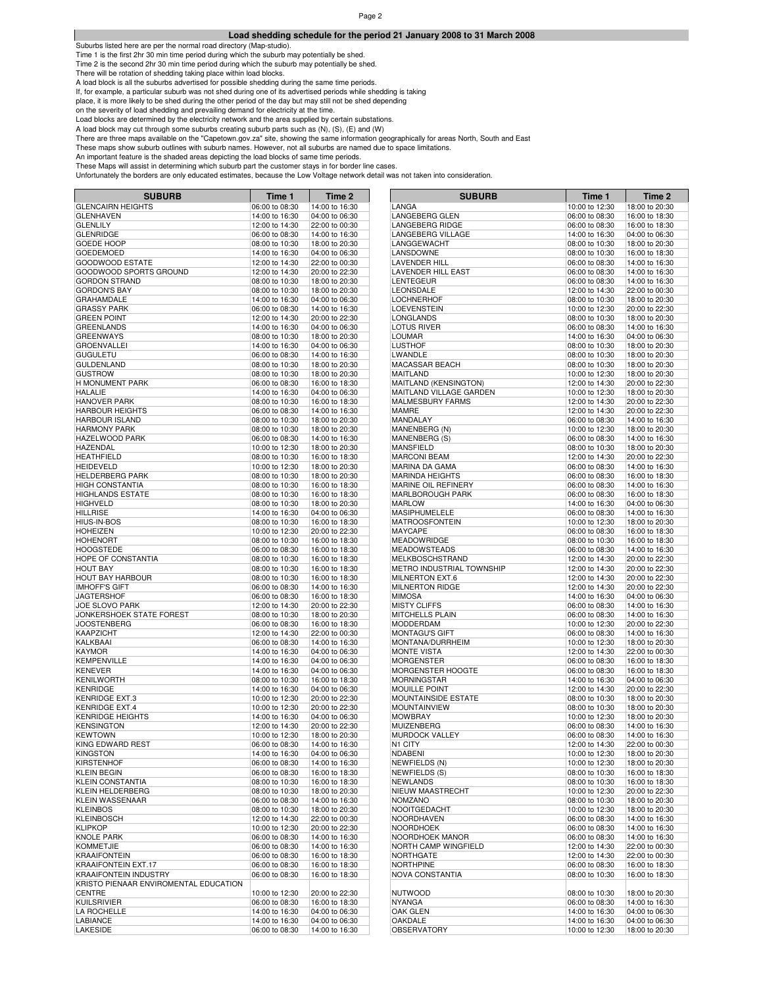### Page 2

# **Load shedding schedule for the period 21 January 2008 to 31 March 2008**

Suburbs listed here are per the normal road directory (Map-studio).

Time 1 is the first 2hr 30 min time period during which the suburb may potentially be shed. Time 1 is the second 2hr 30 min time period during which the suburb may potentially be shed.

There will be rotation of shedding taking place within load blocks.

A load block is all the suburbs advertised for possible shedding during the same time periods.

If, for example, a particular suburb was not shed during one of its advertised periods while shedding is taking

place, it is more likely to be shed during the other period of the day but may still not be shed depending

on the severity of load shedding and prevailing demand for electricity at the time.

Load blocks are determined by the electricity network and the area supplied by certain substations.

A load block may cut through some suburbs creating suburb parts such as (N), (S), (E) and (W)

There are three maps available on the "Capetown.gov.za" site, showing the same information geographically for areas North, South and East These maps show suburb outlines with suburb names. However, not all suburbs are named due to space limitations.

An important feature is the shaded areas depicting the load blocks of same time periods.

| <b>SUBURB</b>                               | Time 1                           | Time 2                           | <b>SUBURB</b>                              | Time 1                           | Time 2                           |
|---------------------------------------------|----------------------------------|----------------------------------|--------------------------------------------|----------------------------------|----------------------------------|
| <b>GLENCAIRN HEIGHTS</b>                    | 06:00 to 08:30                   | 14:00 to 16:30                   | LANGA                                      | 10:00 to 12:30                   | 18:00 to 20:30                   |
| <b>GLENHAVEN</b>                            | 14:00 to 16:30                   | 04:00 to 06:30                   | LANGEBERG GLEN                             | 06:00 to 08:30                   | 16:00 to 18:30                   |
| <b>GLENLILY</b>                             | 12:00 to 14:30                   | 22:00 to 00:30                   | LANGEBERG RIDGE                            | 06:00 to 08:30                   | 16:00 to 18:30                   |
| <b>GLENRIDGE</b>                            | 06:00 to 08:30                   | 14:00 to 16:30                   | LANGEBERG VILLAGE                          | 14:00 to 16:30                   | 04:00 to 06:30                   |
| <b>GOEDE HOOP</b>                           | 08:00 to 10:30                   | 18:00 to 20:30                   | LANGGEWACHT                                | 08:00 to 10:30                   | 18:00 to 20:30                   |
| <b>GOEDEMOED</b>                            | 14:00 to 16:30                   | 04:00 to 06:30                   | LANSDOWNE                                  | 08:00 to 10:30                   | 16:00 to 18:30                   |
| <b>GOODWOOD ESTATE</b>                      | 12:00 to 14:30                   | 22:00 to 00:30                   | <b>LAVENDER HILL</b>                       | 06:00 to 08:30                   | 14:00 to 16:30                   |
| GOODWOOD SPORTS GROUND                      | 12:00 to 14:30                   | 20:00 to 22:30                   | LAVENDER HILL EAST                         | 06:00 to 08:30                   | 14:00 to 16:30                   |
| <b>GORDON STRAND</b><br><b>GORDON'S BAY</b> | 08:00 to 10:30                   | 18:00 to 20:30                   | LENTEGEUR<br><b>LEONSDALE</b>              | 06:00 to 08:30                   | 14:00 to 16:30                   |
| <b>GRAHAMDALE</b>                           | 08:00 to 10:30<br>14:00 to 16:30 | 18:00 to 20:30<br>04:00 to 06:30 | <b>LOCHNERHOF</b>                          | 12:00 to 14:30<br>08:00 to 10:30 | 22:00 to 00:30<br>18:00 to 20:30 |
| <b>GRASSY PARK</b>                          | 06:00 to 08:30                   | 14:00 to 16:30                   | LOEVENSTEIN                                | 10:00 to 12:30                   | 20:00 to 22:30                   |
| <b>GREEN POINT</b>                          | 12:00 to 14:30                   | 20:00 to 22:30                   | <b>LONGLANDS</b>                           | 08:00 to 10:30                   | 18:00 to 20:30                   |
| <b>GREENLANDS</b>                           | 14:00 to 16:30                   | 04:00 to 06:30                   | LOTUS RIVER                                | 06:00 to 08:30                   | 14:00 to 16:30                   |
| <b>GREENWAYS</b>                            | 08:00 to 10:30                   | 18:00 to 20:30                   | <b>LOUMAR</b>                              | 14:00 to 16:30                   | 04:00 to 06:30                   |
| <b>GROENVALLEI</b>                          | 14:00 to 16:30                   | 04:00 to 06:30                   | <b>LUSTHOF</b>                             | 08:00 to 10:30                   | 18:00 to 20:30                   |
| <b>GUGULETU</b>                             | 06:00 to 08:30                   | 14:00 to 16:30                   | <b>LWANDLE</b>                             | 08:00 to 10:30                   | 18:00 to 20:30                   |
| <b>GULDENLAND</b>                           | 08:00 to 10:30                   | 18:00 to 20:30                   | <b>MACASSAR BEACH</b>                      | 08:00 to 10:30                   | 18:00 to 20:30                   |
| <b>GUSTROW</b>                              | 08:00 to 10:30                   | 18:00 to 20:30                   | <b>MAITLAND</b>                            | 10:00 to 12:30                   | 18:00 to 20:30                   |
| H MONUMENT PARK                             | 06:00 to 08:30                   | 16:00 to 18:30                   | MAITLAND (KENSINGTON)                      | 12:00 to 14:30                   | 20:00 to 22:30                   |
| <b>HALALIE</b>                              | 14:00 to 16:30                   | 04:00 to 06:30                   | MAITLAND VILLAGE GARDEN                    | 10:00 to 12:30                   | 18:00 to 20:30                   |
| <b>HANOVER PARK</b>                         | 08:00 to 10:30                   | 16:00 to 18:30                   | MALMESBURY FARMS                           | 12:00 to 14:30                   | 20:00 to 22:30                   |
| <b>HARBOUR HEIGHTS</b>                      | 06:00 to 08:30                   | 14:00 to 16:30                   | <b>MAMRE</b>                               | 12:00 to 14:30                   | 20:00 to 22:30                   |
| <b>HARBOUR ISLAND</b>                       | 08:00 to 10:30                   | 18:00 to 20:30                   | <b>MANDALAY</b>                            | 06:00 to 08:30                   | 14:00 to 16:30                   |
| <b>HARMONY PARK</b>                         | 08:00 to 10:30                   | 18:00 to 20:30                   | MANENBERG (N)                              | 10:00 to 12:30                   | 18:00 to 20:30                   |
| HAZELWOOD PARK                              | 06:00 to 08:30                   | 14:00 to 16:30                   | MANENBERG (S)                              | 06:00 to 08:30                   | 14:00 to 16:30                   |
| HAZENDAL                                    | 10:00 to 12:30                   | 18:00 to 20:30                   | <b>MANSFIELD</b>                           | 08:00 to 10:30                   | 18:00 to 20:30                   |
| <b>HEATHFIELD</b><br><b>HEIDEVELD</b>       | 08:00 to 10:30                   | 16:00 to 18:30                   | <b>MARCONI BEAM</b>                        | 12:00 to 14:30                   | 20:00 to 22:30                   |
| <b>HELDERBERG PARK</b>                      | 10:00 to 12:30                   | 18:00 to 20:30<br>18:00 to 20:30 | MARINA DA GAMA<br><b>MARINDA HEIGHTS</b>   | 06:00 to 08:30                   | 14:00 to 16:30                   |
| <b>HIGH CONSTANTIA</b>                      | 08:00 to 10:30<br>08:00 to 10:30 | 16:00 to 18:30                   | MARINE OIL REFINERY                        | 06:00 to 08:30<br>06:00 to 08:30 | 16:00 to 18:30<br>14:00 to 16:30 |
| <b>HIGHLANDS ESTATE</b>                     | 08:00 to 10:30                   | 16:00 to 18:30                   | MARLBOROUGH PARK                           | 06:00 to 08:30                   | 16:00 to 18:30                   |
| <b>HIGHVELD</b>                             | 08:00 to 10:30                   | 18:00 to 20:30                   | <b>MARLOW</b>                              | 14:00 to 16:30                   | 04:00 to 06:30                   |
| <b>HILLRISE</b>                             | 14:00 to 16:30                   | 04:00 to 06:30                   | MASIPHUMELELE                              | 06:00 to 08:30                   | 14:00 to 16:30                   |
| HIUS-IN-BOS                                 | 08:00 to 10:30                   | 16:00 to 18:30                   | <b>MATROOSFONTEIN</b>                      | 10:00 to 12:30                   | 18:00 to 20:30                   |
| <b>HOHEIZEN</b>                             | 10:00 to 12:30                   | 20:00 to 22:30                   | <b>MAYCAPE</b>                             | 06:00 to 08:30                   | 16:00 to 18:30                   |
| <b>HOHENORT</b>                             | 08:00 to 10:30                   | 16:00 to 18:30                   | <b>MEADOWRIDGE</b>                         | 08:00 to 10:30                   | 16:00 to 18:30                   |
| <b>HOOGSTEDE</b>                            | 06:00 to 08:30                   | 16:00 to 18:30                   | <b>MEADOWSTEADS</b>                        | 06:00 to 08:30                   | 14:00 to 16:30                   |
| HOPE OF CONSTANTIA                          | 08:00 to 10:30                   | 16:00 to 18:30                   | MELKBOSCHSTRAND                            | 12:00 to 14:30                   | 20:00 to 22:30                   |
| <b>HOUT BAY</b>                             | 08:00 to 10:30                   | 16:00 to 18:30                   | METRO INDUSTRIAL TOWNSHIP                  | 12:00 to 14:30                   | 20:00 to 22:30                   |
| HOUT BAY HARBOUR                            | 08:00 to 10:30                   | 16:00 to 18:30                   | MILNERTON EXT.6                            | 12:00 to 14:30                   | 20:00 to 22:30                   |
| <b>IMHOFF'S GIFT</b>                        | 06:00 to 08:30                   | 14:00 to 16:30                   | MILNERTON RIDGE                            | 12:00 to 14:30                   | 20:00 to 22:30                   |
| <b>JAGTERSHOF</b>                           | 06:00 to 08:30                   | 16:00 to 18:30                   | <b>MIMOSA</b>                              | 14:00 to 16:30                   | 04:00 to 06:30                   |
| <b>JOE SLOVO PARK</b>                       | 12:00 to 14:30                   | 20:00 to 22:30                   | <b>MISTY CLIFFS</b>                        | 06:00 to 08:30                   | 14:00 to 16:30                   |
| JONKERSHOEK STATE FOREST                    | 08:00 to 10:30                   | 18:00 to 20:30                   | MITCHELLS PLAIN                            | 06:00 to 08:30                   | 14:00 to 16:30                   |
| <b>JOOSTENBERG</b><br>KAAPZICHT             | 06:00 to 08:30                   | 16:00 to 18:30                   | <b>MODDERDAM</b><br>MONTAGU'S GIFT         | 10:00 to 12:30<br>06:00 to 08:30 | 20:00 to 22:30                   |
| KALKBAAI                                    | 12:00 to 14:30<br>06:00 to 08:30 | 22:00 to 00:30<br>14:00 to 16:30 | MONTANA/DURRHEIM                           | 10:00 to 12:30                   | 14:00 to 16:30<br>18:00 to 20:30 |
| <b>KAYMOR</b>                               | 14:00 to 16:30                   | 04:00 to 06:30                   | <b>MONTE VISTA</b>                         | 12:00 to 14:30                   | 22:00 to 00:30                   |
| <b>KEMPENVILLE</b>                          | 14:00 to 16:30                   | 04:00 to 06:30                   | <b>MORGENSTER</b>                          | 06:00 to 08:30                   | 16:00 to 18:30                   |
| <b>KENEVER</b>                              | 14:00 to 16:30                   | 04:00 to 06:30                   | MORGENSTER HOOGTE                          | 06:00 to 08:30                   | 16:00 to 18:30                   |
| <b>KENILWORTH</b>                           | 08:00 to 10:30                   | 16:00 to 18:30                   | <b>MORNINGSTAR</b>                         | 14:00 to 16:30                   | 04:00 to 06:30                   |
| <b>KENRIDGE</b>                             | 14:00 to 16:30                   | 04:00 to 06:30                   | <b>MOUILLE POINT</b>                       | 12:00 to 14:30                   | 20:00 to 22:30                   |
| <b>KENRIDGE EXT.3</b>                       | 10:00 to 12:30                   | 20:00 to 22:30                   | MOUNTAINSIDE ESTATE                        | 08:00 to 10:30                   | 18:00 to 20:30                   |
| <b>KENRIDGE EXT.4</b>                       | 10:00 to 12:30                   | 20:00 to 22:30                   | <b>MOUNTAINVIEW</b>                        | 08:00 to 10:30                   | 18:00 to 20:30                   |
| <b>KENRIDGE HEIGHTS</b>                     | 14:00 to 16:30                   | 04:00 to 06:30                   | <b>MOWBRAY</b>                             | 10:00 to 12:30                   | 18:00 to 20:30                   |
| <b>KENSINGTON</b>                           | 12:00 to 14:30                   | 20:00 to 22:30                   | <b>MUIZENBERG</b>                          | 06:00 to 08:30                   | 14:00 to 16:30                   |
| <b>KEWTOWN</b>                              | 10:00 to 12:30                   | 18:00 to 20:30                   | MURDOCK VALLEY                             | 06:00 to 08:30                   | 14:00 to 16:30                   |
| KING EDWARD REST                            | 06:00 to 08:30                   | 14:00 to 16:30                   | N1 CITY                                    | 12:00 to 14:30                   | 22:00 to 00:30                   |
| KINGSTON                                    | 14:00 to 16:30                   | 04:00 to 06:30                   | NDABENI                                    | 10:00 to 12:30                   | 18:00 to 20:30                   |
| <b>KIRSTENHOF</b>                           | 06:00 to 08:30                   | 14:00 to 16:30                   | NEWFIELDS (N)                              | 10:00 to 12:30                   | 18:00 to 20:30                   |
| <b>KLEIN BEGIN</b>                          | 06:00 to 08:30<br>08:00 to 10:30 | 16:00 to 18:30                   | NEWFIELDS (S)                              | 08:00 to 10:30                   | 16:00 to 18:30                   |
| KLEIN CONSTANTIA<br><b>KLEIN HELDERBERG</b> | 08:00 to 10:30                   | 16:00 to 18:30<br>18:00 to 20:30 | <b>NEWLANDS</b><br><b>NIEUW MAASTRECHT</b> | 08:00 to 10:30<br>10:00 to 12:30 | 16:00 to 18:30<br>20:00 to 22:30 |
| KLEIN WASSENAAR                             | 06:00 to 08:30                   | 14:00 to 16:30                   | <b>NOMZANO</b>                             | 08:00 to 10:30                   | 18:00 to 20:30                   |
| <b>KLEINBOS</b>                             | 08:00 to 10:30                   | 18:00 to 20:30                   | NOOITGEDACHT                               | 10:00 to 12:30                   | 18:00 to 20:30                   |
| <b>KLEINBOSCH</b>                           | 12:00 to 14:30                   | 22:00 to 00:30                   | <b>NOORDHAVEN</b>                          | 06:00 to 08:30                   | 14:00 to 16:30                   |
| <b>KLIPKOP</b>                              | 10:00 to 12:30                   | 20:00 to 22:30                   | <b>NOORDHOEK</b>                           | 06:00 to 08:30                   | 14:00 to 16:30                   |
| <b>KNOLE PARK</b>                           | 06:00 to 08:30                   | 14:00 to 16:30                   | NOORDHOEK MANOR                            | 06:00 to 08:30                   | 14:00 to 16:30                   |
| <b>KOMMETJIE</b>                            | 06:00 to 08:30                   | 14:00 to 16:30                   | NORTH CAMP WINGFIELD                       | 12:00 to 14:30                   | 22:00 to 00:30                   |
| <b>KRAAIFONTEIN</b>                         | 06:00 to 08:30                   | 16:00 to 18:30                   | NORTHGATE                                  | 12:00 to 14:30                   | 22:00 to 00:30                   |
| KRAAIFONTEIN EXT.17                         | 06:00 to 08:30                   | 16:00 to 18:30                   | <b>NORTHPINE</b>                           | 06:00 to 08:30                   | 16:00 to 18:30                   |
| <b>KRAAIFONTEIN INDUSTRY</b>                | 06:00 to 08:30                   | 16:00 to 18:30                   | NOVA CONSTANTIA                            | 08:00 to 10:30                   | 16:00 to 18:30                   |
| KRISTO PIENAAR ENVIROMENTAL EDUCATION       |                                  |                                  |                                            |                                  |                                  |
| <b>CENTRE</b>                               | 10:00 to 12:30                   | 20:00 to 22:30                   | <b>NUTWOOD</b>                             | 08:00 to 10:30                   | 18:00 to 20:30                   |
| <b>KUILSRIVIER</b>                          | 06:00 to 08:30                   | 16:00 to 18:30                   | <b>NYANGA</b>                              | 06:00 to 08:30                   | 14:00 to 16:30                   |
| LA ROCHELLE                                 | 14:00 to 16:30                   | 04:00 to 06:30                   | OAK GLEN                                   | 14:00 to 16:30                   | 04:00 to 06:30                   |
| <b>LABIANCE</b>                             | 14:00 to 16:30                   | 04:00 to 06:30                   | <b>OAKDALE</b>                             | 14:00 to 16:30                   | 04:00 to 06:30                   |
| LAKESIDE                                    | 06:00 to 08:30                   | 14:00 to 16:30                   | <b>OBSERVATORY</b>                         | 10:00 to 12:30                   | 18:00 to 20:30                   |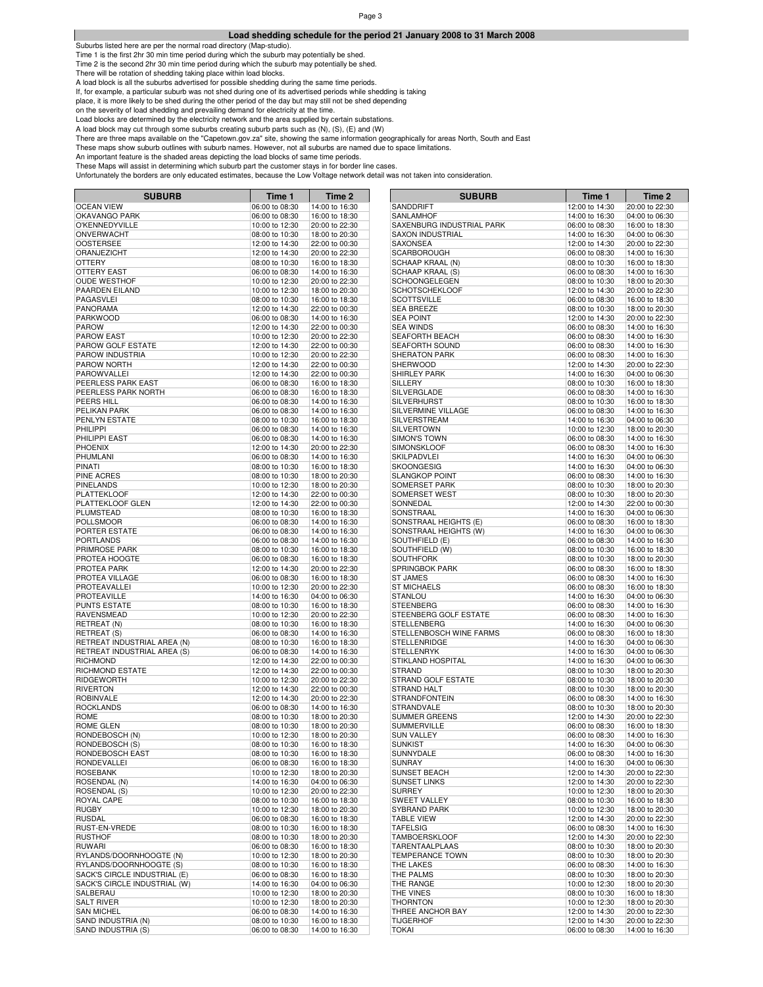# **Load shedding schedule for the period 21 January 2008 to 31 March 2008**

Suburbs listed here are per the normal road directory (Map-studio).

Time 1 is the first 2hr 30 min time period during which the suburb may potentially be shed. Time 1 is the second 2hr 30 min time period during which the suburb may potentially be shed.

There will be rotation of shedding taking place within load blocks.

A load block is all the suburbs advertised for possible shedding during the same time periods.

If, for example, a particular suburb was not shed during one of its advertised periods while shedding is taking

place, it is more likely to be shed during the other period of the day but may still not be shed depending

on the severity of load shedding and prevailing demand for electricity at the time.

Load blocks are determined by the electricity network and the area supplied by certain substations.

A load block may cut through some suburbs creating suburb parts such as (N), (S), (E) and (W)

There are three maps available on the "Capetown.gov.za" site, showing the same information geographically for areas North, South and East

These maps show suburb outlines with suburb names. However, not all suburbs are named due to space limitations.

An important feature is the shaded areas depicting the load blocks of same time periods.

| <b>SUBURB</b>                            | Time 1                           | Time 2                           | <b>SUBURB</b>                            | Time 1                           | Time 2                           |
|------------------------------------------|----------------------------------|----------------------------------|------------------------------------------|----------------------------------|----------------------------------|
| <b>OCEAN VIEW</b>                        | 06:00 to 08:30                   | 14:00 to 16:30                   | SANDDRIFT                                | 12:00 to 14:30                   | 20:00 to 22:30                   |
| OKAVANGO PARK                            | 06:00 to 08:30                   | 16:00 to 18:30                   | <b>SANLAMHOF</b>                         | 14:00 to 16:30                   | 04:00 to 06:30                   |
| O'KENNEDYVILLE                           | 10:00 to 12:30                   | 20:00 to 22:30                   | SAXENBURG INDUSTRIAL PARK                | 06:00 to 08:30                   | 16:00 to 18:30                   |
| ONVERWACHT                               | 08:00 to 10:30                   | 18:00 to 20:30                   | <b>SAXON INDUSTRIAL</b>                  | 14:00 to 16:30                   | 04:00 to 06:30                   |
| <b>OOSTERSEE</b>                         | 12:00 to 14:30                   | 22:00 to 00:30                   | <b>SAXONSEA</b>                          | 12:00 to 14:30                   | 20:00 to 22:30                   |
| ORANJEZICHT                              | 12:00 to 14:30                   | 20:00 to 22:30                   | <b>SCARBOROUGH</b>                       | 06:00 to 08:30                   | 14:00 to 16:30                   |
| <b>OTTERY</b>                            | 08:00 to 10:30                   | 16:00 to 18:30                   | SCHAAP KRAAL (N)                         | 08:00 to 10:30                   | 16:00 to 18:30                   |
| OTTERY EAST                              | 06:00 to 08:30                   | 14:00 to 16:30                   | SCHAAP KRAAL (S)                         | 06:00 to 08:30                   | 14:00 to 16:30                   |
| <b>OUDE WESTHOF</b>                      | 10:00 to 12:30                   | 20:00 to 22:30                   | SCHOONGELEGEN                            | 08:00 to 10:30                   | 18:00 to 20:30                   |
| PAARDEN EILAND                           | 10:00 to 12:30                   | 18:00 to 20:30                   | <b>SCHOTSCHEKLOOF</b>                    | 12:00 to 14:30                   | 20:00 to 22:30                   |
| PAGASVLEI                                | 08:00 to 10:30                   | 16:00 to 18:30                   | <b>SCOTTSVILLE</b>                       | 06:00 to 08:30                   | 16:00 to 18:30                   |
| <b>PANORAMA</b>                          | 12:00 to 14:30                   | 22:00 to 00:30                   | <b>SEA BREEZE</b>                        | 08:00 to 10:30                   | 18:00 to 20:30                   |
| <b>PARKWOOD</b>                          | 06:00 to 08:30                   | 14:00 to 16:30                   | <b>SEA POINT</b>                         | 12:00 to 14:30                   | 20:00 to 22:30                   |
| <b>PAROW</b>                             | 12:00 to 14:30                   | 22:00 to 00:30                   | <b>SEA WINDS</b>                         | 06:00 to 08:30                   | 14:00 to 16:30                   |
| <b>PAROW EAST</b>                        | 10:00 to 12:30                   | 20:00 to 22:30                   | <b>SEAFORTH BEACH</b>                    | 06:00 to 08:30                   | 14:00 to 16:30                   |
| PAROW GOLF ESTATE                        | 12:00 to 14:30                   | 22:00 to 00:30                   | <b>SEAFORTH SOUND</b>                    | 06:00 to 08:30                   | 14:00 to 16:30                   |
| PAROW INDUSTRIA                          | 10:00 to 12:30                   | 20:00 to 22:30                   | SHERATON PARK                            | 06:00 to 08:30                   | 14:00 to 16:30                   |
| PAROW NORTH                              | 12:00 to 14:30                   | 22:00 to 00:30                   | <b>SHERWOOD</b>                          | 12:00 to 14:30                   | 20:00 to 22:30                   |
| PAROWVALLEI                              | 12:00 to 14:30                   | 22:00 to 00:30                   | <b>SHIRLEY PARK</b>                      | 14:00 to 16:30                   | 04:00 to 06:30                   |
| PEERLESS PARK EAST                       | 06:00 to 08:30                   | 16:00 to 18:30                   | SILLERY                                  | 08:00 to 10:30                   | 16:00 to 18:30                   |
| PEERLESS PARK NORTH                      | 06:00 to 08:30                   | 16:00 to 18:30                   | SILVERGLADE                              | 06:00 to 08:30                   | 14:00 to 16:30                   |
| PEERS HILL                               | 06:00 to 08:30                   | 14:00 to 16:30                   | SILVERHURST                              | 08:00 to 10:30                   | 16:00 to 18:30                   |
| PELIKAN PARK                             | 06:00 to 08:30                   | 14:00 to 16:30                   | SILVERMINE VILLAGE                       | 06:00 to 08:30                   | 14:00 to 16:30                   |
| PENLYN ESTATE                            | 08:00 to 10:30                   | 16:00 to 18:30                   | SILVERSTREAM                             | 14:00 to 16:30                   | 04:00 to 06:30                   |
| PHILIPPI                                 | 06:00 to 08:30                   | 14:00 to 16:30                   | SILVERTOWN<br><b>SIMON'S TOWN</b>        | 10:00 to 12:30                   | 18:00 to 20:30                   |
| PHILIPPI EAST<br><b>PHOENIX</b>          | 06:00 to 08:30                   | 14:00 to 16:30                   |                                          | 06:00 to 08:30                   | 14:00 to 16:30<br>14:00 to 16:30 |
| PHUMLANI                                 | 12:00 to 14:30                   | 20:00 to 22:30                   | <b>SIMONSKLOOF</b><br><b>SKILPADVLEI</b> | 06:00 to 08:30                   | 04:00 to 06:30                   |
| <b>PINATI</b>                            | 06:00 to 08:30<br>08:00 to 10:30 | 14:00 to 16:30                   | <b>SKOONGESIG</b>                        | 14:00 to 16:30<br>14:00 to 16:30 |                                  |
| <b>PINE ACRES</b>                        | 08:00 to 10:30                   | 16:00 to 18:30<br>18:00 to 20:30 | <b>SLANGKOP POINT</b>                    | 06:00 to 08:30                   | 04:00 to 06:30                   |
| <b>PINELANDS</b>                         | 10:00 to 12:30                   | 18:00 to 20:30                   | <b>SOMERSET PARK</b>                     | 08:00 to 10:30                   | 14:00 to 16:30<br>18:00 to 20:30 |
| <b>PLATTEKLOOF</b>                       | 12:00 to 14:30                   | 22:00 to 00:30                   | SOMERSET WEST                            | 08:00 to 10:30                   | 18:00 to 20:30                   |
| PLATTEKLOOF GLEN                         | 12:00 to 14:30                   | 22:00 to 00:30                   | SONNEDAL                                 | 12:00 to 14:30                   | 22:00 to 00:30                   |
| PLUMSTEAD                                | 08:00 to 10:30                   | 16:00 to 18:30                   | SONSTRAAL                                | 14:00 to 16:30                   | 04:00 to 06:30                   |
| <b>POLLSMOOR</b>                         | 06:00 to 08:30                   | 14:00 to 16:30                   | SONSTRAAL HEIGHTS (E)                    | 06:00 to 08:30                   | 16:00 to 18:30                   |
| PORTER ESTATE                            | 06:00 to 08:30                   | 14:00 to 16:30                   | SONSTRAAL HEIGHTS (W)                    | 14:00 to 16:30                   | 04:00 to 06:30                   |
| <b>PORTLANDS</b>                         | 06:00 to 08:30                   | 14:00 to 16:30                   | SOUTHFIELD (E)                           | 06:00 to 08:30                   | 14:00 to 16:30                   |
| PRIMROSE PARK                            | 08:00 to 10:30                   | 16:00 to 18:30                   | SOUTHFIELD (W)                           | 08:00 to 10:30                   | 16:00 to 18:30                   |
| PROTEA HOOGTE                            | 06:00 to 08:30                   | 16:00 to 18:30                   | <b>SOUTHFORK</b>                         | 08:00 to 10:30                   | 18:00 to 20:30                   |
| PROTEA PARK                              | 12:00 to 14:30                   | 20:00 to 22:30                   | SPRINGBOK PARK                           | 06:00 to 08:30                   | 16:00 to 18:30                   |
| PROTEA VILLAGE                           | 06:00 to 08:30                   | 16:00 to 18:30                   | <b>ST JAMES</b>                          | 06:00 to 08:30                   | 14:00 to 16:30                   |
| PROTEAVALLEI                             | 10:00 to 12:30                   | 20:00 to 22:30                   | <b>ST MICHAELS</b>                       | 06:00 to 08:30                   | 16:00 to 18:30                   |
| PROTEAVILLE                              | 14:00 to 16:30                   | 04:00 to 06:30                   | <b>STANLOU</b>                           | 14:00 to 16:30                   | 04:00 to 06:30                   |
| <b>PUNTS ESTATE</b>                      | 08:00 to 10:30                   | 16:00 to 18:30                   | <b>STEENBERG</b>                         | 06:00 to 08:30                   | 14:00 to 16:30                   |
| RAVENSMEAD                               | 10:00 to 12:30                   | 20:00 to 22:30                   | STEENBERG GOLF ESTATE                    | 06:00 to 08:30                   | 14:00 to 16:30                   |
| RETREAT (N)                              | 08:00 to 10:30                   | 16:00 to 18:30                   | <b>STELLENBERG</b>                       | 14:00 to 16:30                   | 04:00 to 06:30                   |
| <b>RETREAT (S)</b>                       | 06:00 to 08:30                   | 14:00 to 16:30                   | STELLENBOSCH WINE FARMS                  | 06:00 to 08:30                   | 16:00 to 18:30                   |
| RETREAT INDUSTRIAL AREA (N)              | 08:00 to 10:30                   | 16:00 to 18:30                   | STELLENRIDGE                             | 14:00 to 16:30                   | 04:00 to 06:30                   |
| RETREAT INDUSTRIAL AREA (S)              | 06:00 to 08:30                   | 14:00 to 16:30                   | <b>STELLENRYK</b>                        | 14:00 to 16:30                   | 04:00 to 06:30                   |
| <b>RICHMOND</b>                          | 12:00 to 14:30                   | 22:00 to 00:30                   | STIKLAND HOSPITAL                        | 14:00 to 16:30                   | 04:00 to 06:30                   |
| RICHMOND ESTATE                          | 12:00 to 14:30                   | 22:00 to 00:30                   | <b>STRAND</b>                            | 08:00 to 10:30                   | 18:00 to 20:30                   |
| RIDGEWORTH                               | 10:00 to 12:30                   | 20:00 to 22:30                   | STRAND GOLF ESTATE                       | 08:00 to 10:30                   | 18:00 to 20:30                   |
| <b>RIVERTON</b>                          | 12:00 to 14:30                   | 22:00 to 00:30                   | <b>STRAND HALT</b>                       | 08:00 to 10:30                   | 18:00 to 20:30                   |
| <b>ROBINVALE</b>                         | 12:00 to 14:30                   | 20:00 to 22:30                   | <b>STRANDFONTEIN</b>                     | 06:00 to 08:30                   | 14:00 to 16:30                   |
| <b>ROCKLANDS</b>                         | 06:00 to 08:30                   | 14:00 to 16:30                   | <b>STRANDVALE</b>                        | 08:00 to 10:30                   | 18:00 to 20:30                   |
| <b>ROME</b>                              | 08:00 to 10:30                   | 18:00 to 20:30                   | <b>SUMMER GREENS</b>                     | 12:00 to 14:30                   | 20:00 to 22:30                   |
| ROME GLEN                                | 08:00 to 10:30                   | 18:00 to 20:30                   | <b>SUMMERVILLE</b>                       | 06:00 to 08:30                   | 16:00 to 18:30                   |
| RONDEBOSCH (N)                           | 10:00 to 12:30                   | 18:00 to 20:30                   | <b>SUN VALLEY</b>                        | 06:00 to 08:30                   | 14:00 to 16:30                   |
| RONDEBOSCH (S)                           | 08:00 to 10:30                   | 16:00 to 18:30                   | <b>SUNKIST</b>                           | 14:00 to 16:30                   | 04:00 to 06:30                   |
| RONDEBOSCH EAST                          | 08:00 to 10:30                   | 16:00 to 18:30                   | SUNNYDALE                                | 06:00 to 08:30                   | 14:00 to 16:30                   |
| RONDEVALLEI                              | 06:00 to 08:30                   | 16:00 to 18:30                   | <b>SUNRAY</b>                            | 14:00 to 16:30                   | 04:00 to 06:30                   |
| <b>ROSEBANK</b>                          | 10:00 to 12:30                   | 18:00 to 20:30                   | <b>SUNSET BEACH</b>                      | 12:00 to 14:30                   | 20:00 to 22:30                   |
| ROSENDAL (N)                             | 14:00 to 16:30                   | 04:00 to 06:30                   | <b>SUNSET LINKS</b>                      | 12:00 to 14:30                   | 20:00 to 22:30                   |
| ROSENDAL (S)                             | 10:00 to 12:30                   | 20:00 to 22:30                   | <b>SURREY</b>                            | 10:00 to 12:30                   | 18:00 to 20:30                   |
| ROYAL CAPE                               | 08:00 to 10:30                   | 16:00 to 18:30                   | <b>SWEET VALLEY</b>                      | 08:00 to 10:30                   | 16:00 to 18:30                   |
| <b>RUGBY</b>                             | 10:00 to 12:30                   | 18:00 to 20:30                   | SYBRAND PARK                             | 10:00 to 12:30                   | 18:00 to 20:30                   |
| <b>RUSDAL</b>                            | 06:00 to 08:30                   | 16:00 to 18:30                   | <b>TABLE VIEW</b>                        | 12:00 to 14:30                   | 20:00 to 22:30                   |
| RUST-EN-VREDE                            | 08:00 to 10:30                   | 16:00 to 18:30                   | <b>TAFELSIG</b>                          | 06:00 to 08:30                   | 14:00 to 16:30                   |
| <b>RUSTHOF</b>                           | 08:00 to 10:30                   | 18:00 to 20:30                   | <b>TAMBOERSKLOOF</b>                     | 12:00 to 14:30                   | 20:00 to 22:30                   |
| <b>RUWARI</b>                            | 06:00 to 08:30                   | 16:00 to 18:30                   | TARENTAALPLAAS                           | 08:00 to 10:30                   | 18:00 to 20:30                   |
| RYLANDS/DOORNHOOGTE (N)                  | 10:00 to 12:30                   | 18:00 to 20:30                   | <b>TEMPERANCE TOWN</b>                   | 08:00 to 10:30                   | 18:00 to 20:30                   |
| RYLANDS/DOORNHOOGTE (S)                  | 08:00 to 10:30                   | 16:00 to 18:30                   | THE LAKES                                | 06:00 to 08:30                   | 14:00 to 16:30                   |
| SACK'S CIRCLE INDUSTRIAL (E)             | 06:00 to 08:30                   | 16:00 to 18:30                   | THE PALMS                                | 08:00 to 10:30                   | 18:00 to 20:30<br>18:00 to 20:30 |
| SACK'S CIRCLE INDUSTRIAL (W)<br>SALBERAU | 14:00 to 16:30<br>10:00 to 12:30 | 04:00 to 06:30<br>18:00 to 20:30 | THE RANGE<br>THE VINES                   | 10:00 to 12:30<br>08:00 to 10:30 |                                  |
| <b>SALT RIVER</b>                        | 10:00 to 12:30                   | 18:00 to 20:30                   | <b>THORNTON</b>                          | 10:00 to 12:30                   | 16:00 to 18:30<br>18:00 to 20:30 |
| <b>SAN MICHEL</b>                        | 06:00 to 08:30                   | 14:00 to 16:30                   | THREE ANCHOR BAY                         | 12:00 to 14:30                   | 20:00 to 22:30                   |
| SAND INDUSTRIA (N)                       | 08:00 to 10:30                   | 16:00 to 18:30                   | <b>TIJGERHOF</b>                         | 12:00 to 14:30                   | 20:00 to 22:30                   |
| SAND INDUSTRIA (S)                       | 06:00 to 08:30                   | 14:00 to 16:30                   | <b>TOKAI</b>                             | 06:00 to 08:30                   | 14:00 to 16:30                   |
|                                          |                                  |                                  |                                          |                                  |                                  |